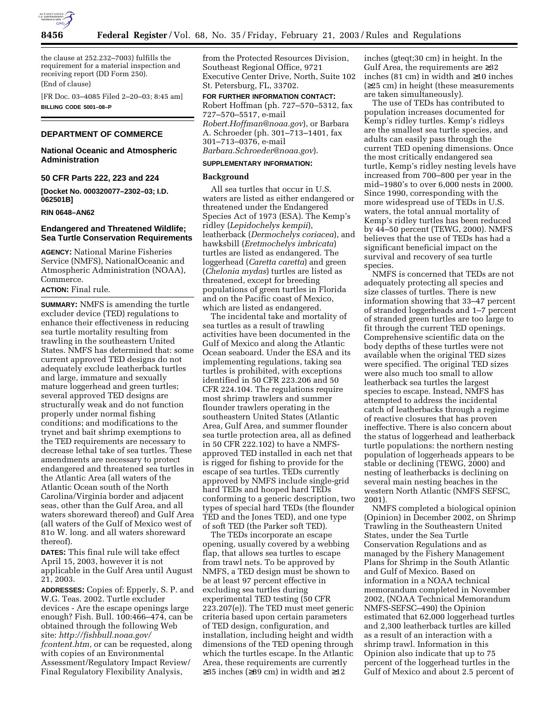

the clause at 252.232–7003) fulfills the requirement for a material inspection and receiving report (DD Form 250). (End of clause)

[FR Doc. 03–4085 Filed 2–20–03; 8:45 am] **BILLING CODE 5001–08–P**

# **DEPARTMENT OF COMMERCE**

### **National Oceanic and Atmospheric Administration**

#### **50 CFR Parts 222, 223 and 224**

**[Docket No. 000320077–2302–03; I.D. 062501B]**

#### **RIN 0648–AN62**

### **Endangered and Threatened Wildlife; Sea Turtle Conservation Requirements**

**AGENCY:** National Marine Fisheries Service (NMFS), NationalOceanic and Atmospheric Administration (NOAA), Commerce.

### **ACTION:** Final rule.

**SUMMARY:** NMFS is amending the turtle excluder device (TED) regulations to enhance their effectiveness in reducing sea turtle mortality resulting from trawling in the southeastern United States. NMFS has determined that: some current approved TED designs do not adequately exclude leatherback turtles and large, immature and sexually mature loggerhead and green turtles; several approved TED designs are structurally weak and do not function properly under normal fishing conditions; and modifications to the trynet and bait shrimp exemptions to the TED requirements are necessary to decrease lethal take of sea turtles. These amendments are necessary to protect endangered and threatened sea turtles in the Atlantic Area (all waters of the Atlantic Ocean south of the North Carolina/Virginia border and adjacent seas, other than the Gulf Area, and all waters shoreward thereof) and Gulf Area (all waters of the Gulf of Mexico west of 81o W. long. and all waters shoreward thereof).

**DATES:** This final rule will take effect April 15, 2003, however it is not applicable in the Gulf Area until August 21, 2003.

**ADDRESSES:** Copies of: Epperly, S. P. and W.G. Teas. 2002. Turtle excluder devices - Are the escape openings large enough? Fish. Bull. 100:466–474, can be obtained through the following Web site: *http://fishbull.noaa.gov/ fcontent.htm*, or can be requested, along with copies of an Environmental Assessment/Regulatory Impact Review/ Final Regulatory Flexibility Analysis,

from the Protected Resources Division, Southeast Regional Office, 9721 Executive Center Drive, North, Suite 102 St. Petersburg, FL, 33702.

**FOR FURTHER INFORMATION CONTACT:** Robert Hoffman (ph. 727–570–5312, fax 727–570–5517, e-mail *Robert.Hoffman@noaa.gov*), or Barbara A. Schroeder (ph. 301–713–1401, fax 301–713–0376, e-mail *Barbara.Schroeder@noaa.gov*).

#### **SUPPLEMENTARY INFORMATION:**

#### **Background**

All sea turtles that occur in U.S. waters are listed as either endangered or threatened under the Endangered Species Act of 1973 (ESA). The Kemp's ridley (*Lepidochelys kempii*), leatherback (*Dermochelys coriacea*), and hawksbill (*Eretmochelys imbricata*) turtles are listed as endangered. The loggerhead (*Caretta caretta*) and green (*Chelonia mydas*) turtles are listed as threatened, except for breeding populations of green turtles in Florida and on the Pacific coast of Mexico, which are listed as endangered.

The incidental take and mortality of sea turtles as a result of trawling activities have been documented in the Gulf of Mexico and along the Atlantic Ocean seaboard. Under the ESA and its implementing regulations, taking sea turtles is prohibited, with exceptions identified in 50 CFR 223.206 and 50 CFR 224.104. The regulations require most shrimp trawlers and summer flounder trawlers operating in the southeastern United States (Atlantic Area, Gulf Area, and summer flounder sea turtle protection area, all as defined in 50 CFR 222.102) to have a NMFSapproved TED installed in each net that is rigged for fishing to provide for the escape of sea turtles. TEDs currently approved by NMFS include single-grid hard TEDs and hooped hard TEDs conforming to a generic description, two types of special hard TEDs (the flounder TED and the Jones TED), and one type of soft TED (the Parker soft TED).

The TEDs incorporate an escape opening, usually covered by a webbing flap, that allows sea turtles to escape from trawl nets. To be approved by NMFS, a TED design must be shown to be at least 97 percent effective in excluding sea turtles during experimental TED testing (50 CFR 223.207(e)). The TED must meet generic criteria based upon certain parameters of TED design, configuration, and installation, including height and width dimensions of the TED opening through which the turtles escape. In the Atlantic Area, these requirements are currently ≥35 inches (≥89 cm) in width and ≥12

inches (gteqt;30 cm) in height. In the Gulf Area, the requirements are ≥32 inches (81 cm) in width and ≥10 inches (≥25 cm) in height (these measurements are taken simultaneously).

The use of TEDs has contributed to population increases documented for Kemp's ridley turtles. Kemp's ridleys are the smallest sea turtle species, and adults can easily pass through the current TED opening dimensions. Once the most critically endangered sea turtle, Kemp's ridley nesting levels have increased from 700–800 per year in the mid–1980's to over 6,000 nests in 2000. Since 1990, corresponding with the more widespread use of TEDs in U.S. waters, the total annual mortality of Kemp's ridley turtles has been reduced by 44–50 percent (TEWG, 2000). NMFS believes that the use of TEDs has had a significant beneficial impact on the survival and recovery of sea turtle species.

NMFS is concerned that TEDs are not adequately protecting all species and size classes of turtles. There is new information showing that 33–47 percent of stranded loggerheads and 1–7 percent of stranded green turtles are too large to fit through the current TED openings. Comprehensive scientific data on the body depths of these turtles were not available when the original TED sizes were specified. The original TED sizes were also much too small to allow leatherback sea turtles the largest species to escape. Instead, NMFS has attempted to address the incidental catch of leatherbacks through a regime of reactive closures that has proven ineffective. There is also concern about the status of loggerhead and leatherback turtle populations: the northern nesting population of loggerheads appears to be stable or declining (TEWG, 2000) and nesting of leatherbacks is declining on several main nesting beaches in the western North Atlantic (NMFS SEFSC, 2001).

NMFS completed a biological opinion (Opinion) in December 2002, on Shrimp Trawling in the Southeastern United States, under the Sea Turtle Conservation Regulations and as managed by the Fishery Management Plans for Shrimp in the South Atlantic and Gulf of Mexico. Based on information in a NOAA technical memorandum completed in November 2002, (NOAA Technical Memorandum NMFS-SEFSC–490) the Opinion estimated that 62,000 loggerhead turtles and 2,300 leatherback turtles are killed as a result of an interaction with a shrimp trawl. Information in this Opinion also indicate that up to 75 percent of the loggerhead turtles in the Gulf of Mexico and about 2.5 percent of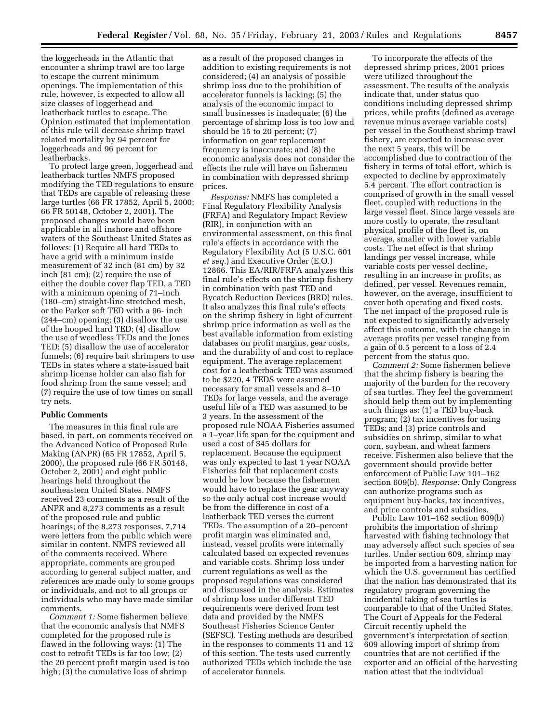the loggerheads in the Atlantic that encounter a shrimp trawl are too large to escape the current minimum openings. The implementation of this rule, however, is expected to allow all size classes of loggerhead and leatherback turtles to escape. The Opinion estimated that implementation of this rule will decrease shrimp trawl related mortality by 94 percent for loggerheads and 96 percent for leatherbacks.

To protect large green, loggerhead and leatherback turtles NMFS proposed modifying the TED regulations to ensure that TEDs are capable of releasing these large turtles (66 FR 17852, April 5, 2000; 66 FR 50148, October 2, 2001). The proposed changes would have been applicable in all inshore and offshore waters of the Southeast United States as follows: (1) Require all hard TEDs to have a grid with a minimum inside measurement of 32 inch (81 cm) by 32 inch (81 cm); (2) require the use of either the double cover flap TED, a TED with a minimum opening of 71–inch (180–cm) straight-line stretched mesh, or the Parker soft TED with a 96- inch (244–cm) opening; (3) disallow the use of the hooped hard TED; (4) disallow the use of weedless TEDs and the Jones TED; (5) disallow the use of accelerator funnels; (6) require bait shrimpers to use TEDs in states where a state-issued bait shrimp license holder can also fish for food shrimp from the same vessel; and (7) require the use of tow times on small try nets.

#### **Public Comments**

The measures in this final rule are based, in part, on comments received on the Advanced Notice of Proposed Rule Making (ANPR) (65 FR 17852, April 5, 2000), the proposed rule (66 FR 50148, October 2, 2001) and eight public hearings held throughout the southeastern United States. NMFS received 23 comments as a result of the ANPR and 8,273 comments as a result of the proposed rule and public hearings; of the 8,273 responses, 7,714 were letters from the public which were similar in content. NMFS reviewed all of the comments received. Where appropriate, comments are grouped according to general subject matter, and references are made only to some groups or individuals, and not to all groups or individuals who may have made similar comments.

*Comment 1:* Some fishermen believe that the economic analysis that NMFS completed for the proposed rule is flawed in the following ways: (1) The cost to retrofit TEDs is far too low; (2) the 20 percent profit margin used is too high; (3) the cumulative loss of shrimp

as a result of the proposed changes in addition to existing requirements is not considered; (4) an analysis of possible shrimp loss due to the prohibition of accelerator funnels is lacking; (5) the analysis of the economic impact to small businesses is inadequate; (6) the percentage of shrimp loss is too low and should be 15 to 20 percent; (7) information on gear replacement frequency is inaccurate; and (8) the economic analysis does not consider the effects the rule will have on fishermen in combination with depressed shrimp prices.

*Response:* NMFS has completed a Final Regulatory Flexibility Analysis (FRFA) and Regulatory Impact Review (RIR), in conjunction with an environmental assessment, on this final rule's effects in accordance with the Regulatory Flexibility Act (5 U.S.C. 601 *et seq.*) and Executive Order (E.O.) 12866. This EA/RIR/FRFA analyzes this final rule's effects on the shrimp fishery in combination with past TED and Bycatch Reduction Devices (BRD) rules. It also analyzes this final rule's effects on the shrimp fishery in light of current shrimp price information as well as the best available information from existing databases on profit margins, gear costs, and the durability of and cost to replace equipment. The average replacement cost for a leatherback TED was assumed to be \$220, 4 TEDS were assumed necessary for small vessels and 8–10 TEDs for large vessels, and the average useful life of a TED was assumed to be 3 years. In the assessment of the proposed rule NOAA Fisheries assumed a 1–year life span for the equipment and used a cost of \$45 dollars for replacement. Because the equipment was only expected to last 1 year NOAA Fisheries felt that replacement costs would be low because the fishermen would have to replace the gear anyway so the only actual cost increase would be from the difference in cost of a leatherback TED verses the current TEDs. The assumption of a 20–percent profit margin was eliminated and, instead, vessel profits were internally calculated based on expected revenues and variable costs. Shrimp loss under current regulations as well as the proposed regulations was considered and discussed in the analysis. Estimates of shrimp loss under different TED requirements were derived from test data and provided by the NMFS Southeast Fisheries Science Center (SEFSC). Testing methods are described in the responses to comments 11 and 12 of this section. The tests used currently authorized TEDs which include the use of accelerator funnels.

To incorporate the effects of the depressed shrimp prices, 2001 prices were utilized throughout the assessment. The results of the analysis indicate that, under status quo conditions including depressed shrimp prices, while profits (defined as average revenue minus average variable costs) per vessel in the Southeast shrimp trawl fishery, are expected to increase over the next 5 years, this will be accomplished due to contraction of the fishery in terms of total effort, which is expected to decline by approximately 5.4 percent. The effort contraction is comprised of growth in the small vessel fleet, coupled with reductions in the large vessel fleet. Since large vessels are more costly to operate, the resultant physical profile of the fleet is, on average, smaller with lower variable costs. The net effect is that shrimp landings per vessel increase, while variable costs per vessel decline, resulting in an increase in profits, as defined, per vessel. Revenues remain, however, on the average, insufficient to cover both operating and fixed costs. The net impact of the proposed rule is not expected to significantly adversely affect this outcome, with the change in average profits per vessel ranging from a gain of 0.5 percent to a loss of 2.4 percent from the status quo.

*Comment 2:* Some fishermen believe that the shrimp fishery is bearing the majority of the burden for the recovery of sea turtles. They feel the government should help them out by implementing such things as: (1) a TED buy-back program; (2) tax incentives for using TEDs; and (3) price controls and subsidies on shrimp, similar to what corn, soybean, and wheat farmers receive. Fishermen also believe that the government should provide better enforcement of Public Law 101–162 section 609(b). *Response:* Only Congress can authorize programs such as equipment buy-backs, tax incentives, and price controls and subsidies.

Public Law 101–162 section 609(b) prohibits the importation of shrimp harvested with fishing technology that may adversely affect such species of sea turtles. Under section 609, shrimp may be imported from a harvesting nation for which the U.S. government has certified that the nation has demonstrated that its regulatory program governing the incidental taking of sea turtles is comparable to that of the United States. The Court of Appeals for the Federal Circuit recently upheld the government's interpretation of section 609 allowing import of shrimp from countries that are not certified if the exporter and an official of the harvesting nation attest that the individual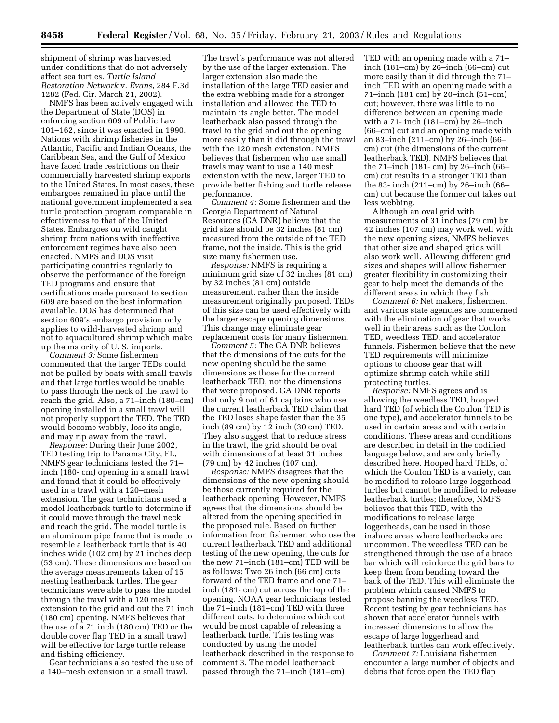shipment of shrimp was harvested under conditions that do not adversely affect sea turtles. *Turtle Island Restoration Network* v. *Evans*, 284 F.3d 1282 (Fed. Cir. March 21, 2002).

NMFS has been actively engaged with the Department of State (DOS) in enforcing section 609 of Public Law 101–162, since it was enacted in 1990. Nations with shrimp fisheries in the Atlantic, Pacific and Indian Oceans, the Caribbean Sea, and the Gulf of Mexico have faced trade restrictions on their commercially harvested shrimp exports to the United States. In most cases, these embargoes remained in place until the national government implemented a sea turtle protection program comparable in effectiveness to that of the United States. Embargoes on wild caught shrimp from nations with ineffective enforcement regimes have also been enacted. NMFS and DOS visit participating countries regularly to observe the performance of the foreign TED programs and ensure that certifications made pursuant to section 609 are based on the best information available. DOS has determined that section 609's embargo provision only applies to wild-harvested shrimp and not to aquacultured shrimp which make up the majority of U. S. imports.

*Comment 3:* Some fishermen commented that the larger TEDs could not be pulled by boats with small trawls and that large turtles would be unable to pass through the neck of the trawl to reach the grid. Also, a 71–inch (180–cm) opening installed in a small trawl will not properly support the TED. The TED would become wobbly, lose its angle, and may rip away from the trawl.

*Response:* During their June 2002, TED testing trip to Panama City, FL, NMFS gear technicians tested the 71– inch (180- cm) opening in a small trawl and found that it could be effectively used in a trawl with a 120–mesh extension. The gear technicians used a model leatherback turtle to determine if it could move through the trawl neck and reach the grid. The model turtle is an aluminum pipe frame that is made to resemble a leatherback turtle that is 40 inches wide (102 cm) by 21 inches deep (53 cm). These dimensions are based on the average measurements taken of 15 nesting leatherback turtles. The gear technicians were able to pass the model through the trawl with a 120 mesh extension to the grid and out the 71 inch (180 cm) opening. NMFS believes that the use of a 71 inch (180 cm) TED or the double cover flap TED in a small trawl will be effective for large turtle release and fishing efficiency.

Gear technicians also tested the use of a 140–mesh extension in a small trawl.

The trawl's performance was not altered by the use of the larger extension. The larger extension also made the installation of the large TED easier and the extra webbing made for a stronger installation and allowed the TED to maintain its angle better. The model leatherback also passed through the trawl to the grid and out the opening more easily than it did through the trawl with the 120 mesh extension. NMFS believes that fishermen who use small trawls may want to use a 140 mesh extension with the new, larger TED to provide better fishing and turtle release performance.

*Comment 4:* Some fishermen and the Georgia Department of Natural Resources (GA DNR) believe that the grid size should be 32 inches (81 cm) measured from the outside of the TED frame, not the inside. This is the grid size many fishermen use.

*Response:* NMFS is requiring a minimum grid size of 32 inches (81 cm) by 32 inches (81 cm) outside measurement, rather than the inside measurement originally proposed. TEDs of this size can be used effectively with the larger escape opening dimensions. This change may eliminate gear replacement costs for many fishermen.

*Comment 5:* The GA DNR believes that the dimensions of the cuts for the new opening should be the same dimensions as those for the current leatherback TED, not the dimensions that were proposed. GA DNR reports that only 9 out of 61 captains who use the current leatherback TED claim that the TED loses shape faster than the 35 inch (89 cm) by 12 inch (30 cm) TED. They also suggest that to reduce stress in the trawl, the grid should be oval with dimensions of at least 31 inches (79 cm) by 42 inches (107 cm).

*Response:* NMFS disagrees that the dimensions of the new opening should be those currently required for the leatherback opening. However, NMFS agrees that the dimensions should be altered from the opening specified in the proposed rule. Based on further information from fishermen who use the current leatherback TED and additional testing of the new opening, the cuts for the new 71–inch (181–cm) TED will be as follows: Two 26 inch (66 cm) cuts forward of the TED frame and one 71– inch (181- cm) cut across the top of the opening. NOAA gear technicians tested the 71–inch (181–cm) TED with three different cuts, to determine which cut would be most capable of releasing a leatherback turtle. This testing was conducted by using the model leatherback described in the response to comment 3. The model leatherback passed through the 71–inch (181–cm)

TED with an opening made with a 71– inch (181–cm) by 26–inch (66–cm) cut more easily than it did through the 71– inch TED with an opening made with a 71–inch (181 cm) by 20–inch (51–cm) cut; however, there was little to no difference between an opening made with a 71- inch (181–cm) by 26–inch (66–cm) cut and an opening made with an 83–inch (211–cm) by 26–inch (66– cm) cut (the dimensions of the current leatherback TED). NMFS believes that the 71–inch (181- cm) by 26–inch (66– cm) cut results in a stronger TED than the 83- inch (211–cm) by 26–inch (66– cm) cut because the former cut takes out less webbing.

Although an oval grid with measurements of 31 inches (79 cm) by 42 inches (107 cm) may work well with the new opening sizes, NMFS believes that other size and shaped grids will also work well. Allowing different grid sizes and shapes will allow fishermen greater flexibility in customizing their gear to help meet the demands of the different areas in which they fish.

*Comment 6:* Net makers, fishermen, and various state agencies are concerned with the elimination of gear that works well in their areas such as the Coulon TED, weedless TED, and accelerator funnels. Fishermen believe that the new TED requirements will minimize options to choose gear that will optimize shrimp catch while still protecting turtles.

*Response:* NMFS agrees and is allowing the weedless TED, hooped hard TED (of which the Coulon TED is one type), and accelerator funnels to be used in certain areas and with certain conditions. These areas and conditions are described in detail in the codified language below, and are only briefly described here. Hooped hard TEDs, of which the Coulon TED is a variety, can be modified to release large loggerhead turtles but cannot be modified to release leatherback turtles; therefore, NMFS believes that this TED, with the modifications to release large loggerheads, can be used in those inshore areas where leatherbacks are uncommon. The weedless TED can be strengthened through the use of a brace bar which will reinforce the grid bars to keep them from bending toward the back of the TED. This will eliminate the problem which caused NMFS to propose banning the weedless TED. Recent testing by gear technicians has shown that accelerator funnels with increased dimensions to allow the escape of large loggerhead and leatherback turtles can work effectively.

*Comment 7:* Louisiana fishermen encounter a large number of objects and debris that force open the TED flap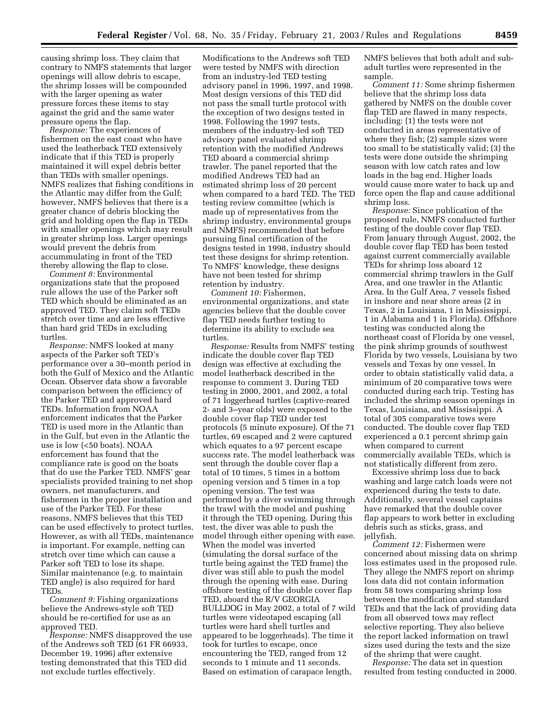causing shrimp loss. They claim that contrary to NMFS statements that larger openings will allow debris to escape, the shrimp losses will be compounded with the larger opening as water pressure forces these items to stay against the grid and the same water pressure opens the flap.

*Response:* The experiences of fishermen on the east coast who have used the leatherback TED extensively indicate that if this TED is properly maintained it will expel debris better than TEDs with smaller openings. NMFS realizes that fishing conditions in the Atlantic may differ from the Gulf; however, NMFS believes that there is a greater chance of debris blocking the grid and holding open the flap in TEDs with smaller openings which may result in greater shrimp loss. Larger openings would prevent the debris from accummulating in front of the TED thereby allowing the flap to close.

*Comment 8:* Environmental organizations state that the proposed rule allows the use of the Parker soft TED which should be eliminated as an approved TED. They claim soft TEDs stretch over time and are less effective than hard grid TEDs in excluding turtles.

*Response:* NMFS looked at many aspects of the Parker soft TED's performance over a 30–month period in both the Gulf of Mexico and the Atlantic Ocean. Observer data show a favorable comparison between the efficiency of the Parker TED and approved hard TEDs. Information from NOAA enforcement indicates that the Parker TED is used more in the Atlantic than in the Gulf, but even in the Atlantic the use is low (<50 boats). NOAA enforcement has found that the compliance rate is good on the boats that do use the Parker TED. NMFS' gear specialists provided training to net shop owners, net manufacturers, and fishermen in the proper installation and use of the Parker TED. For these reasons, NMFS believes that this TED can be used effectively to protect turtles. However, as with all TEDs, maintenance is important. For example, netting can stretch over time which can cause a Parker soft TED to lose its shape. Similar maintenance (e.g. to maintain TED angle) is also required for hard TEDs.

*Comment 9:* Fishing organizations believe the Andrews-style soft TED should be re-certified for use as an approved TED.

*Response:* NMFS disapproved the use of the Andrews soft TED (61 FR 66933, December 19, 1996) after extensive testing demonstrated that this TED did not exclude turtles effectively.

Modifications to the Andrews soft TED were tested by NMFS with direction from an industry-led TED testing advisory panel in 1996, 1997, and 1998. Most design versions of this TED did not pass the small turtle protocol with the exception of two designs tested in 1998. Following the 1997 tests, members of the industry-led soft TED advisory panel evaluated shrimp retention with the modified Andrews TED aboard a commercial shrimp trawler. The panel reported that the modified Andrews TED had an estimated shrimp loss of 20 percent when compared to a hard TED. The TED testing review committee (which is made up of representatives from the shrimp industry, environmental groups and NMFS) recommended that before pursuing final certification of the designs tested in 1998, industry should test these designs for shrimp retention. To NMFS' knowledge, these designs have not been tested for shrimp retention by industry.

*Comment 10:* Fishermen, environmental organizations, and state agencies believe that the double cover flap TED needs further testing to determine its ability to exclude sea turtles.

*Response:* Results from NMFS' testing indicate the double cover flap TED design was effective at excluding the model leatherback described in the response to comment 3. During TED testing in 2000, 2001, and 2002, a total of 71 loggerhead turtles (captive-reared 2- and 3–year olds) were exposed to the double cover flap TED under test protocols (5 minute exposure). Of the 71 turtles, 69 escaped and 2 were captured which equates to a 97 percent escape success rate. The model leatherback was sent through the double cover flap a total of 10 times, 5 times in a bottom opening version and 5 times in a top opening version. The test was performed by a diver swimming through the trawl with the model and pushing it through the TED opening. During this test, the diver was able to push the model through either opening with ease. When the model was inverted (simulating the dorsal surface of the turtle being against the TED frame) the diver was still able to push the model through the opening with ease. During offshore testing of the double cover flap TED, aboard the R/V GEORGIA BULLDOG in May 2002, a total of 7 wild turtles were videotaped escaping (all turtles were hard shell turtles and appeared to be loggerheads). The time it took for turtles to escape, once encountering the TED, ranged from 12 seconds to 1 minute and 11 seconds. Based on estimation of carapace length,

NMFS believes that both adult and subadult turtles were represented in the sample.

*Comment 11:* Some shrimp fishermen believe that the shrimp loss data gathered by NMFS on the double cover flap TED are flawed in many respects, including: (1) the tests were not conducted in areas representative of where they fish; (2) sample sizes were too small to be statistically valid; (3) the tests were done outside the shrimping season with low catch rates and low loads in the bag end. Higher loads would cause more water to back up and force open the flap and cause additional shrimp loss.

*Response:* Since publication of the proposed rule, NMFS conducted further testing of the double cover flap TED. From January through August, 2002, the double cover flap TED has been tested against current commercially available TEDs for shrimp loss aboard 12 commercial shrimp trawlers in the Gulf Area, and one trawler in the Atlantic Area. In the Gulf Area, 7 vessels fished in inshore and near shore areas (2 in Texas, 2 in Louisiana, 1 in Mississippi, 1 in Alabama and 1 in Florida). Offshore testing was conducted along the northeast coast of Florida by one vessel, the pink shrimp grounds of southwest Florida by two vessels, Louisiana by two vessels and Texas by one vessel. In order to obtain statistically valid data, a minimum of 20 comparative tows were conducted during each trip. Testing has included the shrimp season openings in Texas, Louisiana, and Mississippi. A total of 305 comparative tows were conducted. The double cover flap TED experienced a 0.1 percent shrimp gain when compared to current commercially available TEDs, which is not statistically different from zero.

Excessive shrimp loss due to back washing and large catch loads were not experienced during the tests to date. Additionally, several vessel captains have remarked that the double cover flap appears to work better in excluding debris such as sticks, grass, and jellyfish.

*Comment 12:* Fishermen were concerned about missing data on shrimp loss estimates used in the proposed rule. They allege the NMFS report on shrimp loss data did not contain information from 58 tows comparing shrimp loss between the modfication and standard TEDs and that the lack of providing data from all observed tows may reflect selective reporting. They also believe the report lacked information on trawl sizes used during the tests and the size of the shrimp that were caught.

*Response:* The data set in question resulted from testing conducted in 2000.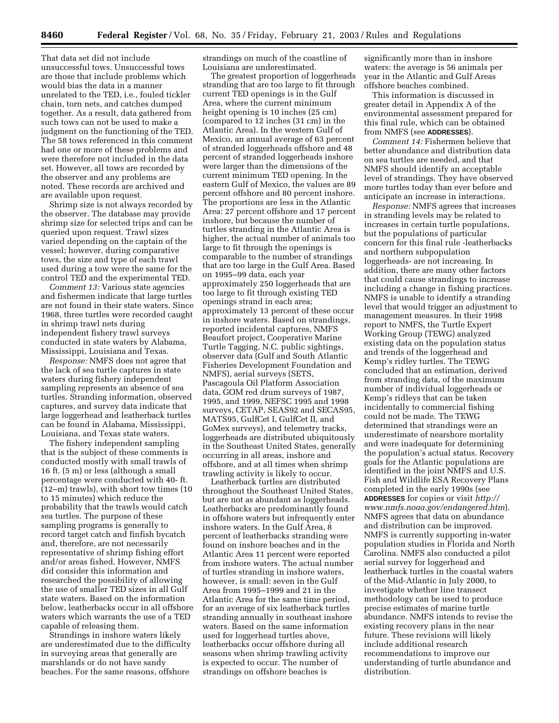That data set did not include unsuccessful tows. Unsuccessful tows are those that include problems which would bias the data in a manner unrelated to the TED, i.e., fouled tickler chain, torn nets, and catches dumped together. As a result, data gathered from such tows can not be used to make a judgment on the functioning of the TED. The 58 tows referenced in this comment had one or more of these problems and were therefore not included in the data set. However, all tows are recorded by the observer and any problems are noted. These records are archived and are available upon request.

Shrimp size is not always recorded by the observer. The database may provide shrimp size for selected trips and can be queried upon request. Trawl sizes varied depending on the captain of the vessel; however, during comparative tows, the size and type of each trawl used during a tow were the same for the control TED and the experimental TED.

*Comment 13:* Various state agencies and fishermen indicate that large turtles are not found in their state waters. Since 1968, three turtles were recorded caught in shrimp trawl nets during independent fishery trawl surveys conducted in state waters by Alabama, Mississippi, Louisiana and Texas.

*Response:* NMFS does not agree that the lack of sea turtle captures in state waters during fishery independent sampling represents an absence of sea turtles. Stranding information, observed captures, and survey data indicate that large loggerhead and leatherback turtles can be found in Alabama, Mississippi, Louisiana, and Texas state waters.

The fishery independent sampling that is the subject of these comments is conducted mostly with small trawls of 16 ft. (5 m) or less (although a small percentage were conducted with 40- ft. (12–m) trawls), with short tow times (10 to 15 minutes) which reduce the probability that the trawls would catch sea turtles. The purpose of these sampling programs is generally to record target catch and finfish bycatch and, therefore, are not necessarily representative of shrimp fishing effort and/or areas fished. However, NMFS did consider this information and researched the possibility of allowing the use of smaller TED sizes in all Gulf state waters. Based on the information below, leatherbacks occur in all offshore waters which warrants the use of a TED capable of releasing them.

Strandings in inshore waters likely are underestimated due to the difficulty in surveying areas that generally are marshlands or do not have sandy beaches. For the same reasons, offshore

strandings on much of the coastline of Louisiana are underestimated.

The greatest proportion of loggerheads stranding that are too large to fit through current TED openings is in the Gulf Area, where the current minimum height opening is 10 inches (25 cm) (compared to 12 inches (31 cm) in the Atlantic Area). In the western Gulf of Mexico, an annual average of 63 percent of stranded loggerheads offshore and 48 percent of stranded loggerheads inshore were larger than the dimensions of the current minimum TED opening. In the eastern Gulf of Mexico, the values are 89 percent offshore and 80 percent inshore. The proportions are less in the Atlantic Area: 27 percent offshore and 17 percent inshore, but because the number of turtles stranding in the Atlantic Area is higher, the actual number of animals too large to fit through the openings is comparable to the number of strandings that are too large in the Gulf Area. Based on 1995–99 data, each year approximately 250 loggerheads that are too large to fit through existing TED openings strand in each area; approximately 13 percent of these occur in inshore waters. Based on strandings, reported incidental captures, NMFS Beaufort project, Cooperative Marine Turtle Tagging, N.C. public sightings, observer data (Gulf and South Atlantic Fisheries Development Foundation and NMFS), aerial surveys (SETS, Pascagoula Oil Platform Association data, GOM red drum surveys of 1987, 1995, and 1999, NEFSC 1995 and 1998 surveys, CETAP, SEAS92 and SECAS95, MATS95, GulfCet I, GulfCet II, and GoMex surveys), and telemetry tracks, loggerheads are distributed ubiquitously in the Southeast United States, generally occurring in all areas, inshore and offshore, and at all times when shrimp trawling activity is likely to occur.

Leatherback turtles are distributed throughout the Southeast United States, but are not as abundant as loggerheads. Leatherbacks are predominantly found in offshore waters but infrequently enter inshore waters. In the Gulf Area, 8 percent of leatherbacks stranding were found on inshore beaches and in the Atlantic Area 11 percent were reported from inshore waters. The actual number of turtles stranding in inshore waters, however, is small: seven in the Gulf Area from 1995–1999 and 21 in the Atlantic Area for the same time period, for an average of six leatherback turtles stranding annually in southeast inshore waters. Based on the same information used for loggerhead turtles above, leatherbacks occur offshore during all seasons when shrimp trawling activity is expected to occur. The number of strandings on offshore beaches is

significantly more than in inshore waters: the average is 56 animals per year in the Atlantic and Gulf Areas offshore beaches combined.

This information is discussed in greater detail in Appendix A of the environmental assessment prepared for this final rule, which can be obtained from NMFS (see **ADDRESSES**).

*Comment 14:* Fishermen believe that better abundance and distribution data on sea turtles are needed, and that NMFS should identify an acceptable level of strandings. They have observed more turtles today than ever before and anticipate an increase in interactions.

*Response:* NMFS agrees that increases in stranding levels may be related to increases in certain turtle populations, but the populations of particular concern for this final rule -leatherbacks and northern subpopulation loggerheads- are not increasing. In addition, there are many other factors that could cause strandings to increase including a change in fishing practices. NMFS is unable to identify a stranding level that would trigger an adjustment to management measures. In their 1998 report to NMFS, the Turtle Expert Working Group (TEWG) analyzed existing data on the population status and trends of the loggerhead and Kemp's ridley turtles. The TEWG concluded that an estimation, derived from stranding data, of the maximum number of individual loggerheads or Kemp's ridleys that can be taken incidentally to commercial fishing could not be made. The TEWG determined that strandings were an underestimate of nearshore mortality and were inadequate for determining the population's actual status. Recovery goals for the Atlantic populations are identified in the joint NMFS and U.S. Fish and Wildlife ESA Recovery Plans completed in the early 1990s (see **ADDRESSES** for copies or visit *http:// www.nmfs.noaa.gov/endangered.htm*). NMFS agrees that data on abundance and distribution can be improved. NMFS is currently supporting in-water population studies in Florida and North Carolina. NMFS also conducted a pilot aerial survey for loggerhead and leatherback turtles in the coastal waters of the Mid-Atlantic in July 2000, to investigate whether line transect methodology can be used to produce precise estimates of marine turtle abundance. NMFS intends to revise the existing recovery plans in the near future. These revisions will likely include additional research recommendations to improve our understanding of turtle abundance and distribution.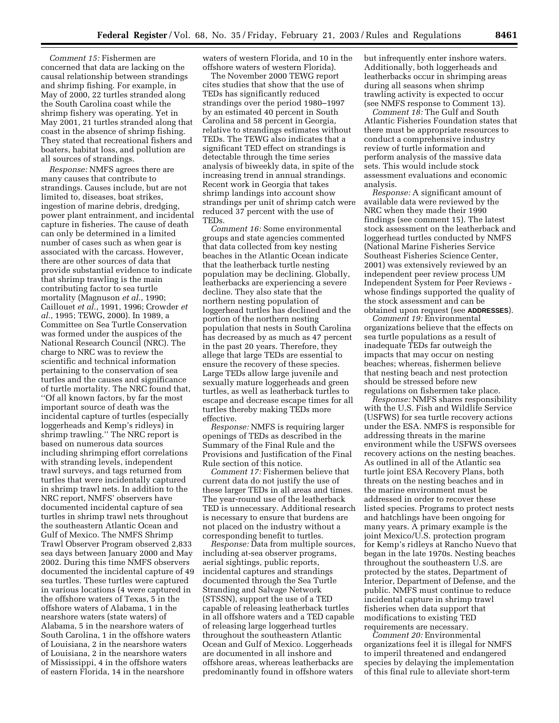*Comment 15:* Fishermen are concerned that data are lacking on the causal relationship between strandings and shrimp fishing. For example, in May of 2000, 22 turtles stranded along the South Carolina coast while the shrimp fishery was operating. Yet in May 2001, 21 turtles stranded along that coast in the absence of shrimp fishing. They stated that recreational fishers and boaters, habitat loss, and pollution are all sources of strandings.

*Response:* NMFS agrees there are many causes that contribute to strandings. Causes include, but are not limited to, diseases, boat strikes, ingestion of marine debris, dredging, power plant entrainment, and incidental capture in fisheries. The cause of death can only be determined in a limited number of cases such as when gear is associated with the carcass. However, there are other sources of data that provide substantial evidence to indicate that shrimp trawling is the main contributing factor to sea turtle mortality (Magnuson *et al.*, 1990; Caillouet *et al.*, 1991, 1996; Crowder *et al.*, 1995; TEWG, 2000). In 1989, a Committee on Sea Turtle Conservation was formed under the auspices of the National Research Council (NRC). The charge to NRC was to review the scientific and technical information pertaining to the conservation of sea turtles and the causes and significance of turtle mortality. The NRC found that, ''Of all known factors, by far the most important source of death was the incidental capture of turtles (especially loggerheads and Kemp's ridleys) in shrimp trawling.'' The NRC report is based on numerous data sources including shrimping effort correlations with stranding levels, independent trawl surveys, and tags returned from turtles that were incidentally captured in shrimp trawl nets. In addition to the NRC report, NMFS' observers have documented incidental capture of sea turtles in shrimp trawl nets throughout the southeastern Atlantic Ocean and Gulf of Mexico. The NMFS Shrimp Trawl Observer Program observed 2,833 sea days between January 2000 and May 2002. During this time NMFS observers documented the incidental capture of 49 sea turtles. These turtles were captured in various locations (4 were captured in the offshore waters of Texas, 5 in the offshore waters of Alabama, 1 in the nearshore waters (state waters) of Alabama, 5 in the nearshore waters of South Carolina, 1 in the offshore waters of Louisiana, 2 in the nearshore waters of Louisiana, 2 in the nearshore waters of Mississippi, 4 in the offshore waters of eastern Florida, 14 in the nearshore

waters of western Florida, and 10 in the offshore waters of western Florida).

The November 2000 TEWG report cites studies that show that the use of TEDs has significantly reduced strandings over the period 1980–1997 by an estimated 40 percent in South Carolina and 58 percent in Georgia, relative to strandings estimates without TEDs. The TEWG also indicates that a significant TED effect on strandings is detectable through the time series analysis of biweekly data, in spite of the increasing trend in annual strandings. Recent work in Georgia that takes shrimp landings into account show strandings per unit of shrimp catch were reduced 37 percent with the use of TEDs.

*Comment 16:* Some environmental groups and state agencies commented that data collected from key nesting beaches in the Atlantic Ocean indicate that the leatherback turtle nesting population may be declining. Globally, leatherbacks are experiencing a severe decline. They also state that the northern nesting population of loggerhead turtles has declined and the portion of the northern nesting population that nests in South Carolina has decreased by as much as 47 percent in the past 20 years. Therefore, they allege that large TEDs are essential to ensure the recovery of these species. Large TEDs allow large juvenile and sexually mature loggerheads and green turtles, as well as leatherback turtles to escape and decrease escape times for all turtles thereby making TEDs more effective.

*Response:* NMFS is requiring larger openings of TEDs as described in the Summary of the Final Rule and the Provisions and Justification of the Final Rule section of this notice.

*Comment 17:* Fishermen believe that current data do not justify the use of these larger TEDs in all areas and times. The year-round use of the leatherback TED is unnecessary. Additional research is necessary to ensure that burdens are not placed on the industry without a corresponding benefit to turtles.

*Response:* Data from multiple sources, including at-sea observer programs, aerial sightings, public reports, incidental captures and strandings documented through the Sea Turtle Stranding and Salvage Network (STSSN), support the use of a TED capable of releasing leatherback turtles in all offshore waters and a TED capable of releasing large loggerhead turtles throughout the southeastern Atlantic Ocean and Gulf of Mexico. Loggerheads are documented in all inshore and offshore areas, whereas leatherbacks are predominantly found in offshore waters

but infrequently enter inshore waters. Additionally, both loggerheads and leatherbacks occur in shrimping areas during all seasons when shrimp trawling activity is expected to occur (see NMFS response to Comment 13).

*Comment 18:* The Gulf and South Atlantic Fisheries Foundation states that there must be appropriate resources to conduct a comprehensive industry review of turtle information and perform analysis of the massive data sets. This would include stock assessment evaluations and economic analysis.

*Response:* A significant amount of available data were reviewed by the NRC when they made their 1990 findings (see comment 15). The latest stock assessment on the leatherback and loggerhead turtles conducted by NMFS (National Marine Fisheries Service Southeast Fisheries Science Center, 2001) was extensively reviewed by an independent peer review process UM Independent System for Peer Reviews whose findings supported the quality of the stock assessment and can be obtained upon request (see **ADDRESSES**).

*Comment 19:* Environmental organizations believe that the effects on sea turtle populations as a result of inadequate TEDs far outweigh the impacts that may occur on nesting beaches; whereas, fishermen believe that nesting beach and nest protection should be stressed before new regulations on fishermen take place.

*Response:* NMFS shares responsibility with the U.S. Fish and Wildlife Service (USFWS) for sea turtle recovery actions under the ESA. NMFS is responsible for addressing threats in the marine environment while the USFWS oversees recovery actions on the nesting beaches. As outlined in all of the Atlantic sea turtle joint ESA Recovery Plans, both threats on the nesting beaches and in the marine environment must be addressed in order to recover these listed species. Programs to protect nests and hatchlings have been ongoing for many years. A primary example is the joint Mexico/U.S. protection program for Kemp's ridleys at Rancho Nuevo that began in the late 1970s. Nesting beaches throughout the southeastern U.S. are protected by the states, Department of Interior, Department of Defense, and the public. NMFS must continue to reduce incidental capture in shrimp trawl fisheries when data support that modifications to existing TED requirements are necessary.

*Comment 20:* Environmental organizations feel it is illegal for NMFS to imperil threatened and endangered species by delaying the implementation of this final rule to alleviate short-term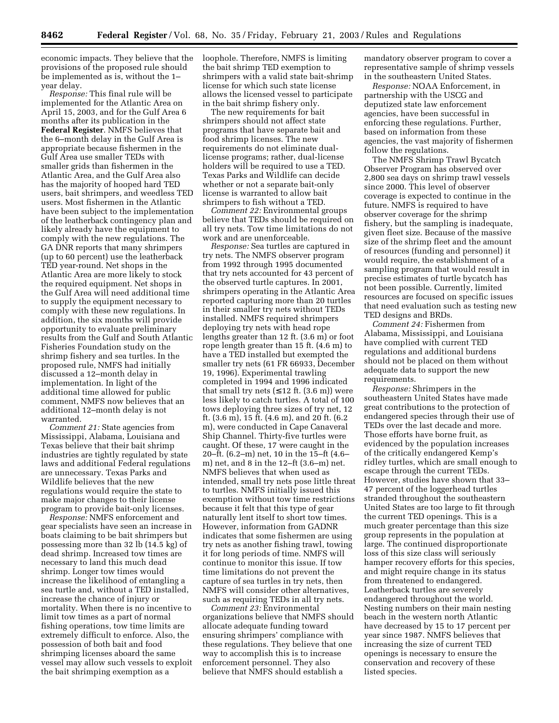economic impacts. They believe that the provisions of the proposed rule should be implemented as is, without the 1– year delay.

*Response:* This final rule will be implemented for the Atlantic Area on April 15, 2003, and for the Gulf Area 6 months after its publication in the **Federal Register**. NMFS believes that the 6–month delay in the Gulf Area is appropriate because fishermen in the Gulf Area use smaller TEDs with smaller grids than fishermen in the Atlantic Area, and the Gulf Area also has the majority of hooped hard TED users, bait shrimpers, and weedless TED users. Most fishermen in the Atlantic have been subject to the implementation of the leatherback contingency plan and likely already have the equipment to comply with the new regulations. The GA DNR reports that many shrimpers (up to 60 percent) use the leatherback TED year-round. Net shops in the Atlantic Area are more likely to stock the required equipment. Net shops in the Gulf Area will need additional time to supply the equipment necessary to comply with these new regulations. In addition, the six months will provide opportunity to evaluate preliminary results from the Gulf and South Atlantic Fisheries Foundation study on the shrimp fishery and sea turtles. In the proposed rule, NMFS had initially discussed a 12–month delay in implementation. In light of the additional time allowed for public comment, NMFS now believes that an additional 12–month delay is not warranted.

*Comment 21:* State agencies from Mississippi, Alabama, Louisiana and Texas believe that their bait shrimp industries are tightly regulated by state laws and additional Federal regulations are unnecessary. Texas Parks and Wildlife believes that the new regulations would require the state to make major changes to their license program to provide bait-only licenses.

*Response:* NMFS enforcement and gear specialists have seen an increase in boats claiming to be bait shrimpers but possessing more than 32 lb (14.5 kg) of dead shrimp. Increased tow times are necessary to land this much dead shrimp. Longer tow times would increase the likelihood of entangling a sea turtle and, without a TED installed, increase the chance of injury or mortality. When there is no incentive to limit tow times as a part of normal fishing operations, tow time limits are extremely difficult to enforce. Also, the possession of both bait and food shrimping licenses aboard the same vessel may allow such vessels to exploit the bait shrimping exemption as a

loophole. Therefore, NMFS is limiting the bait shrimp TED exemption to shrimpers with a valid state bait-shrimp license for which such state license allows the licensed vessel to participate in the bait shrimp fishery only.

The new requirements for bait shrimpers should not affect state programs that have separate bait and food shrimp licenses. The new requirements do not eliminate duallicense programs; rather, dual-license holders will be required to use a TED. Texas Parks and Wildlife can decide whether or not a separate bait-only license is warranted to allow bait shrimpers to fish without a TED.

*Comment 22:* Environmental groups believe that TEDs should be required on all try nets. Tow time limitations do not work and are unenforceable.

*Response:* Sea turtles are captured in try nets. The NMFS observer program from 1992 through 1995 documented that try nets accounted for 43 percent of the observed turtle captures. In 2001, shrimpers operating in the Atlantic Area reported capturing more than 20 turtles in their smaller try nets without TEDs installed. NMFS required shrimpers deploying try nets with head rope lengths greater than 12 ft. (3.6 m) or foot rope length greater than 15 ft. (4.6 m) to have a TED installed but exempted the smaller try nets (61 FR 66933, December 19, 1996). Experimental trawling completed in 1994 and 1996 indicated that small try nets  $(≤ 12$  ft.  $(3.6$  m)) were less likely to catch turtles. A total of 100 tows deploying three sizes of try net, 12 ft. (3.6 m), 15 ft. (4.6 m), and 20 ft. (6.2 m), were conducted in Cape Canaveral Ship Channel. Thirty-five turtles were caught. Of these, 17 were caught in the 20–ft. (6.2–m) net, 10 in the 15–ft (4.6– m) net, and 8 in the 12–ft (3.6–m) net. NMFS believes that when used as intended, small try nets pose little threat to turtles. NMFS initially issued this exemption without tow time restrictions because it felt that this type of gear naturally lent itself to short tow times. However, information from GADNR indicates that some fishermen are using try nets as another fishing trawl, towing it for long periods of time. NMFS will continue to monitor this issue. If tow time limitations do not prevent the capture of sea turtles in try nets, then NMFS will consider other alternatives, such as requiring TEDs in all try nets.

*Comment 23:* Environmental organizations believe that NMFS should allocate adequate funding toward ensuring shrimpers' compliance with these regulations. They believe that one way to accomplish this is to increase enforcement personnel. They also believe that NMFS should establish a

mandatory observer program to cover a representative sample of shrimp vessels in the southeastern United States.

*Response:* NOAA Enforcement, in partnership with the USCG and deputized state law enforcement agencies, have been successful in enforcing these regulations. Further, based on information from these agencies, the vast majority of fishermen follow the regulations.

The NMFS Shrimp Trawl Bycatch Observer Program has observed over 2,800 sea days on shrimp trawl vessels since 2000. This level of observer coverage is expected to continue in the future. NMFS is required to have observer coverage for the shrimp fishery, but the sampling is inadequate, given fleet size. Because of the massive size of the shrimp fleet and the amount of resources (funding and personnel) it would require, the establishment of a sampling program that would result in precise estimates of turtle bycatch has not been possible. Currently, limited resources are focused on specific issues that need evaluation such as testing new TED designs and BRDs.

*Comment 24:* Fishermen from Alabama, Mississippi, and Louisiana have complied with current TED regulations and additional burdens should not be placed on them without adequate data to support the new requirements.

*Response:* Shrimpers in the southeastern United States have made great contributions to the protection of endangered species through their use of TEDs over the last decade and more. Those efforts have borne fruit, as evidenced by the population increases of the critically endangered Kemp's ridley turtles, which are small enough to escape through the current TEDs. However, studies have shown that 33– 47 percent of the loggerhead turtles stranded throughout the southeastern United States are too large to fit through the current TED openings. This is a much greater percentage than this size group represents in the population at large. The continued disproportionate loss of this size class will seriously hamper recovery efforts for this species, and might require change in its status from threatened to endangered. Leatherback turtles are severely endangered throughout the world. Nesting numbers on their main nesting beach in the western north Atlantic have decreased by 15 to 17 percent per year since 1987. NMFS believes that increasing the size of current TED openings is necessary to ensure the conservation and recovery of these listed species.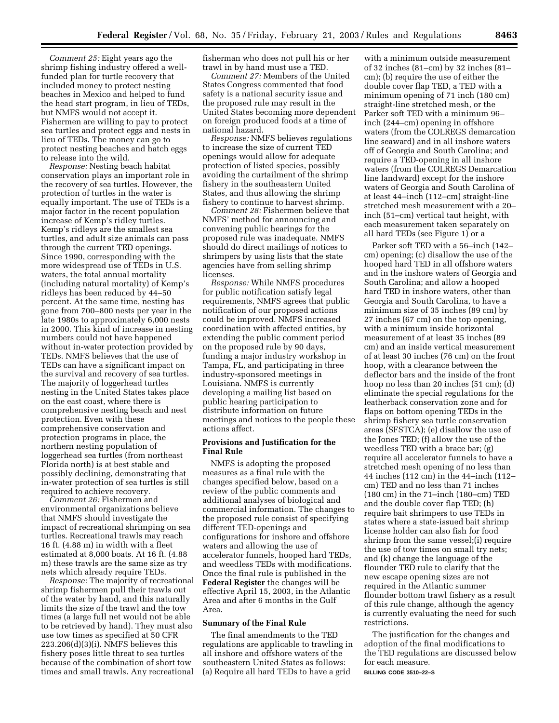*Comment 25:* Eight years ago the shrimp fishing industry offered a wellfunded plan for turtle recovery that included money to protect nesting beaches in Mexico and helped to fund the head start program, in lieu of TEDs, but NMFS would not accept it. Fishermen are willing to pay to protect sea turtles and protect eggs and nests in lieu of TEDs. The money can go to protect nesting beaches and hatch eggs to release into the wild.

*Response:* Nesting beach habitat conservation plays an important role in the recovery of sea turtles. However, the protection of turtles in the water is equally important. The use of TEDs is a major factor in the recent population increase of Kemp's ridley turtles. Kemp's ridleys are the smallest sea turtles, and adult size animals can pass through the current TED openings. Since 1990, corresponding with the more widespread use of TEDs in U.S. waters, the total annual mortality (including natural mortality) of Kemp's ridleys has been reduced by 44–50 percent. At the same time, nesting has gone from 700–800 nests per year in the late 1980s to approximately 6,000 nests in 2000. This kind of increase in nesting numbers could not have happened without in-water protection provided by TEDs. NMFS believes that the use of TEDs can have a significant impact on the survival and recovery of sea turtles. The majority of loggerhead turtles nesting in the United States takes place on the east coast, where there is comprehensive nesting beach and nest protection. Even with these comprehensive conservation and protection programs in place, the northern nesting population of loggerhead sea turtles (from northeast Florida north) is at best stable and possibly declining, demonstrating that in-water protection of sea turtles is still required to achieve recovery.

*Comment 26:* Fishermen and environmental organizations believe that NMFS should investigate the impact of recreational shrimping on sea turtles. Recreational trawls may reach 16 ft. (4.88 m) in width with a fleet estimated at 8,000 boats. At 16 ft. (4.88 m) these trawls are the same size as try nets which already require TEDs.

*Response:* The majority of recreational shrimp fishermen pull their trawls out of the water by hand, and this naturally limits the size of the trawl and the tow times (a large full net would not be able to be retrieved by hand). They must also use tow times as specified at 50 CFR  $223.206(d)(3)(i)$ . NMFS believes this fishery poses little threat to sea turtles because of the combination of short tow times and small trawls. Any recreational

fisherman who does not pull his or her trawl in by hand must use a TED.

*Comment 27:* Members of the United States Congress commented that food safety is a national security issue and the proposed rule may result in the United States becoming more dependent on foreign produced foods at a time of national hazard.

*Response:* NMFS believes regulations to increase the size of current TED openings would allow for adequate protection of listed species, possibly avoiding the curtailment of the shrimp fishery in the southeastern United States, and thus allowing the shrimp fishery to continue to harvest shrimp.

*Comment 28:* Fishermen believe that NMFS' method for announcing and convening public hearings for the proposed rule was inadequate. NMFS should do direct mailings of notices to shrimpers by using lists that the state agencies have from selling shrimp licenses.

*Response:* While NMFS procedures for public notification satisfy legal requirements, NMFS agrees that public notification of our proposed actions could be improved. NMFS increased coordination with affected entities, by extending the public comment period on the proposed rule by 90 days, funding a major industry workshop in Tampa, FL, and participating in three industry-sponsored meetings in Louisiana. NMFS is currently developing a mailing list based on public hearing participation to distribute information on future meetings and notices to the people these actions affect.

### **Provisions and Justification for the Final Rule**

NMFS is adopting the proposed measures as a final rule with the changes specified below, based on a review of the public comments and additional analyses of biological and commercial information. The changes to the proposed rule consist of specifying different TED-openings and configurations for inshore and offshore waters and allowing the use of accelerator funnels, hooped hard TEDs, and weedless TEDs with modifications. Once the final rule is published in the **Federal Register** the changes will be effective April 15, 2003, in the Atlantic Area and after 6 months in the Gulf Area.

#### **Summary of the Final Rule**

The final amendments to the TED regulations are applicable to trawling in all inshore and offshore waters of the southeastern United States as follows: (a) Require all hard TEDs to have a grid

with a minimum outside measurement of 32 inches (81–cm) by 32 inches (81– cm); (b) require the use of either the double cover flap TED, a TED with a minimum opening of 71 inch (180 cm) straight-line stretched mesh, or the Parker soft TED with a minimum 96– inch (244–cm) opening in offshore waters (from the COLREGS demarcation line seaward) and in all inshore waters off of Georgia and South Carolina; and require a TED-opening in all inshore waters (from the COLREGS Demarcation line landward) except for the inshore waters of Georgia and South Carolina of at least 44–inch (112–cm) straight-line stretched mesh measurement with a 20– inch (51–cm) vertical taut height, with each measurement taken separately on all hard TEDs (see Figure 1) or a

Parker soft TED with a 56–inch (142– cm) opening; (c) disallow the use of the hooped hard TED in all offshore waters and in the inshore waters of Georgia and South Carolina; and allow a hooped hard TED in inshore waters, other than Georgia and South Carolina, to have a minimum size of 35 inches (89 cm) by 27 inches (67 cm) on the top opening, with a minimum inside horizontal measurement of at least 35 inches (89 cm) and an inside vertical measurement of at least 30 inches (76 cm) on the front hoop, with a clearance between the deflector bars and the inside of the front hoop no less than 20 inches (51 cm); (d) eliminate the special regulations for the leatherback conservation zone and for flaps on bottom opening TEDs in the shrimp fishery sea turtle conservation areas (SFSTCA); (e) disallow the use of the Jones TED; (f) allow the use of the weedless TED with a brace bar; (g) require all accelerator funnels to have a stretched mesh opening of no less than 44 inches (112 cm) in the 44–inch (112– cm) TED and no less than 71 inches (180 cm) in the 71–inch (180–cm) TED and the double cover flap TED; (h) require bait shrimpers to use TEDs in states where a state-issued bait shrimp license holder can also fish for food shrimp from the same vessel;(i) require the use of tow times on small try nets; and (k) change the language of the flounder TED rule to clarify that the new escape opening sizes are not required in the Atlantic summer flounder bottom trawl fishery as a result of this rule change, although the agency is currently evaluating the need for such restrictions.

The justification for the changes and adoption of the final modifications to the TED regulations are discussed below for each measure.

**BILLING CODE 3510–22–S**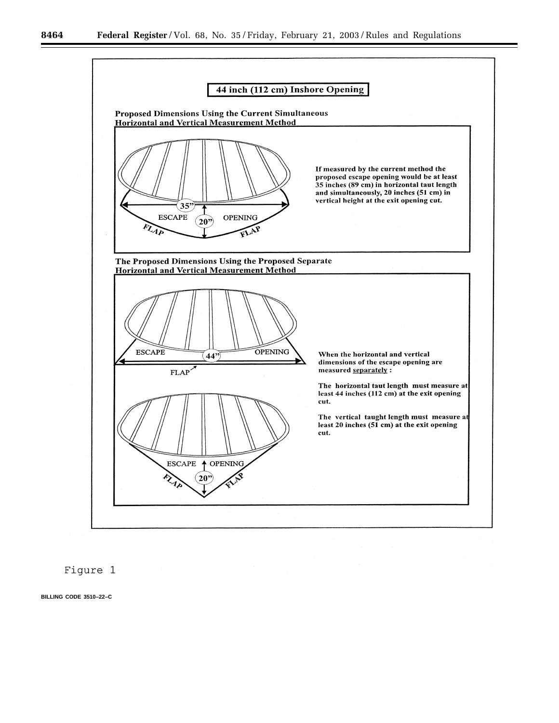



**BILLING CODE 3510–22–C**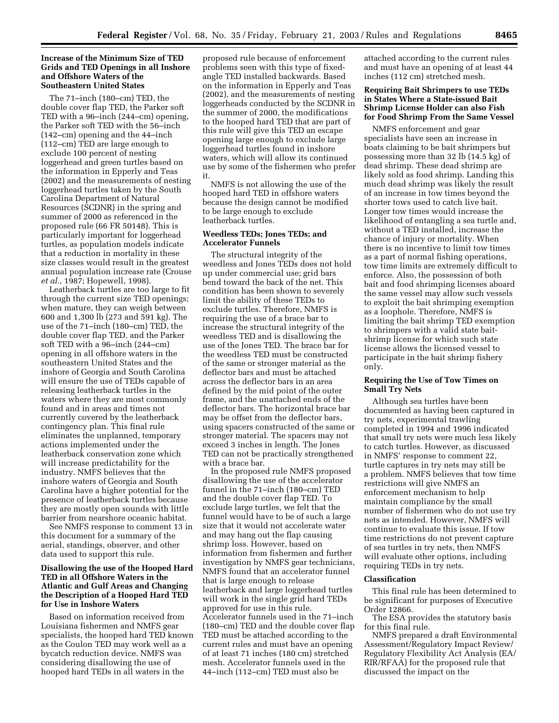### **Increase of the Minimum Size of TED Grids and TED Openings in all Inshore and Offshore Waters of the Southeastern United States**

The 71–inch (180–cm) TED, the double cover flap TED, the Parker soft TED with a 96–inch (244–cm) opening, the Parker soft TED with the 56–inch (142–cm) opening and the 44–inch (112–cm) TED are large enough to exclude 100 percent of nesting loggerhead and green turtles based on the information in Epperly and Teas (2002) and the measurements of nesting loggerhead turtles taken by the South Carolina Department of Natural Resources (SCDNR) in the spring and summer of 2000 as referenced in the proposed rule (66 FR 50148). This is particularly important for loggerhead turtles, as population models indicate that a reduction in mortality in these size classes would result in the greatest annual population increase rate (Crouse *et al.*, 1987; Hopewell, 1998).

Leatherback turtles are too large to fit through the current size TED openings; when mature, they can weigh between 600 and 1,300 lb (273 and 591 kg). The use of the 71–inch (180–cm) TED, the double cover flap TED, and the Parker soft TED with a 96–inch (244–cm) opening in all offshore waters in the southeastern United States and the inshore of Georgia and South Carolina will ensure the use of TEDs capable of releasing leatherback turtles in the waters where they are most commonly found and in areas and times not currently covered by the leatherback contingency plan. This final rule eliminates the unplanned, temporary actions implemented under the leatherback conservation zone which will increase predictability for the industry. NMFS believes that the inshore waters of Georgia and South Carolina have a higher potential for the presence of leatherback turtles because they are mostly open sounds with little barrier from nearshore oceanic habitat.

See NMFS response to comment 13 in this document for a summary of the aerial, standings, observer, and other data used to support this rule.

### **Disallowing the use of the Hooped Hard TED in all Offshore Waters in the Atlantic and Gulf Areas and Changing the Description of a Hooped Hard TED for Use in Inshore Waters**

Based on information received from Louisiana fishermen and NMFS gear specialists, the hooped hard TED known as the Coulon TED may work well as a bycatch reduction device. NMFS was considering disallowing the use of hooped hard TEDs in all waters in the

proposed rule because of enforcement problems seen with this type of fixedangle TED installed backwards. Based on the information in Epperly and Teas (2002), and the measurements of nesting loggerheads conducted by the SCDNR in the summer of 2000, the modifications to the hooped hard TED that are part of this rule will give this TED an escape opening large enough to exclude large loggerhead turtles found in inshore waters, which will allow its continued use by some of the fishermen who prefer it.

NMFS is not allowing the use of the hooped hard TED in offshore waters because the design cannot be modified to be large enough to exclude leatherback turtles.

#### **Weedless TEDs; Jones TEDs; and Accelerator Funnels**

The structural integrity of the weedless and Jones TEDs does not hold up under commercial use; grid bars bend toward the back of the net. This condition has been shown to severely limit the ability of these TEDs to exclude turtles. Therefore, NMFS is requiring the use of a brace bar to increase the structural integrity of the weedless TED and is disallowing the use of the Jones TED. The brace bar for the weedless TED must be constructed of the same or stronger material as the deflector bars and must be attached across the deflector bars in an area defined by the mid point of the outer frame, and the unattached ends of the deflector bars. The horizontal brace bar may be offset from the deflector bars, using spacers constructed of the same or stronger material. The spacers may not exceed 3 inches in length. The Jones TED can not be practically strengthened with a brace bar.

In the proposed rule NMFS proposed disallowing the use of the accelerator funnel in the 71–inch (180–cm) TED and the double cover flap TED. To exclude large turtles, we felt that the funnel would have to be of such a large size that it would not accelerate water and may hang out the flap causing shrimp loss. However, based on information from fishermen and further investigation by NMFS gear technicians, NMFS found that an accelerator funnel that is large enough to release leatherback and large loggerhead turtles will work in the single grid hard TEDs approved for use in this rule. Accelerator funnels used in the 71–inch (180–cm) TED and the double cover flap TED must be attached according to the current rules and must have an opening of at least 71 inches (180 cm) stretched mesh. Accelerator funnels used in the 44–inch (112–cm) TED must also be

attached according to the current rules and must have an opening of at least 44 inches (112 cm) stretched mesh.

### **Requiring Bait Shrimpers to use TEDs in States Where a State-issued Bait Shrimp License Holder can also Fish for Food Shrimp From the Same Vessel**

NMFS enforcement and gear specialists have seen an increase in boats claiming to be bait shrimpers but possessing more than 32 lb (14.5 kg) of dead shrimp. These dead shrimp are likely sold as food shrimp. Landing this much dead shrimp was likely the result of an increase in tow times beyond the shorter tows used to catch live bait. Longer tow times would increase the likelihood of entangling a sea turtle and, without a TED installed, increase the chance of injury or mortality. When there is no incentive to limit tow times as a part of normal fishing operations, tow time limits are extremely difficult to enforce. Also, the possession of both bait and food shrimping licenses aboard the same vessel may allow such vessels to exploit the bait shrimping exemption as a loophole. Therefore, NMFS is limiting the bait shrimp TED exemption to shrimpers with a valid state baitshrimp license for which such state license allows the licensed vessel to participate in the bait shrimp fishery only.

### **Requiring the Use of Tow Times on Small Try Nets**

Although sea turtles have been documented as having been captured in try nets, experimental trawling completed in 1994 and 1996 indicated that small try nets were much less likely to catch turtles. However, as discussed in NMFS' response to comment 22, turtle captures in try nets may still be a problem. NMFS believes that tow time restrictions will give NMFS an enforcement mechanism to help maintain compliance by the small number of fishermen who do not use try nets as intended. However, NMFS will continue to evaluate this issue. If tow time restrictions do not prevent capture of sea turtles in try nets, then NMFS will evaluate other options, including requiring TEDs in try nets.

#### **Classification**

This final rule has been determined to be significant for purposes of Executive Order 12866.

The ESA provides the statutory basis for this final rule.

NMFS prepared a draft Environmental Assessment/Regulatory Impact Review/ Regulatory Flexibility Act Analysis (EA/ RIR/RFAA) for the proposed rule that discussed the impact on the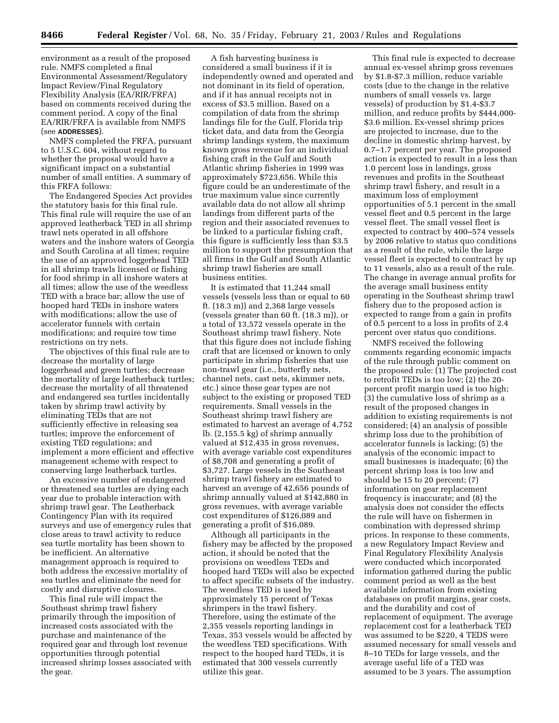environment as a result of the proposed rule. NMFS completed a final Environmental Assessment/Regulatory Impact Review/Final Regulatory Flexibility Analysis (EA/RIR/FRFA) based on comments received during the comment period. A copy of the final EA/RIR/FRFA is available from NMFS (see **ADDRESSES**).

NMFS completed the FRFA, pursuant to 5 U.S.C. 604, without regard to whether the proposal would have a significant impact on a substantial number of small entities. A summary of this FRFA follows:

The Endangered Species Act provides the statutory basis for this final rule. This final rule will require the use of an approved leatherback TED in all shrimp trawl nets operated in all offshore waters and the inshore waters of Georgia and South Carolina at all times; require the use of an approved loggerhead TED in all shrimp trawls licensed or fishing for food shrimp in all inshore waters at all times; allow the use of the weedless TED with a brace bar; allow the use of hooped hard TEDs in inshore waters with modifications; allow the use of accelerator funnels with certain modifications; and require tow time restrictions on try nets.

The objectives of this final rule are to decrease the mortality of large loggerhead and green turtles; decrease the mortality of large leatherback turtles; decrease the mortality of all threatened and endangered sea turtles incidentally taken by shrimp trawl activity by eliminating TEDs that are not sufficiently effective in releasing sea turtles; improve the enforcement of existing TED regulations; and implement a more efficient and effective management scheme with respect to conserving large leatherback turtles.

An excessive number of endangered or threatened sea turtles are dying each year due to probable interaction with shrimp trawl gear. The Leatherback Contingency Plan with its required surveys and use of emergency rules that close areas to trawl activity to reduce sea turtle mortality has been shown to be inefficient. An alternative management approach is required to both address the excessive mortality of sea turtles and eliminate the need for costly and disruptive closures.

This final rule will impact the Southeast shrimp trawl fishery primarily through the imposition of increased costs associated with the purchase and maintenance of the required gear and through lost revenue opportunities through potential increased shrimp losses associated with the gear.

A fish harvesting business is considered a small business if it is independently owned and operated and not dominant in its field of operation, and if it has annual receipts not in excess of \$3.5 million. Based on a compilation of data from the shrimp landings file for the Gulf, Florida trip ticket data, and data from the Georgia shrimp landings system, the maximum known gross revenue for an individual fishing craft in the Gulf and South Atlantic shrimp fisheries in 1999 was approximately \$723,656. While this figure could be an underestimate of the true maximum value since currently available data do not allow all shrimp landings from different parts of the region and their associated revenues to be linked to a particular fishing craft, this figure is sufficiently less than \$3.5 million to support the presumption that all firms in the Gulf and South Atlantic shrimp trawl fisheries are small business entities.

It is estimated that 11,244 small vessels (vessels less than or equal to 60 ft. (18.3 m)) and 2,368 large vessels (vessels greater than 60 ft. (18.3 m)), or a total of 13,572 vessels operate in the Southeast shrimp trawl fishery. Note that this figure does not include fishing craft that are licensed or known to only participate in shrimp fisheries that use non-trawl gear (i.e., butterfly nets, channel nets, cast nets, skimmer nets, etc.) since these gear types are not subject to the existing or proposed TED requirements. Small vessels in the Southeast shrimp trawl fishery are estimated to harvest an average of 4,752 lb. (2,155.5 kg) of shrimp annually valued at \$12,435 in gross revenues, with average variable cost expenditures of \$8,708 and generating a profit of \$3,727. Large vessels in the Southeast shrimp trawl fishery are estimated to harvest an average of 42,656 pounds of shrimp annually valued at \$142,880 in gross revenues, with average variable cost expenditures of \$126,089 and generating a profit of \$16,089.

Although all participants in the fishery may be affected by the proposed action, it should be noted that the provisions on weedless TEDs and hooped hard TEDs will also be expected to affect specific subsets of the industry. The weedless TED is used by approximately 15 percent of Texas shrimpers in the trawl fishery. Therefore, using the estimate of the 2,355 vessels reporting landings in Texas, 353 vessels would be affected by the weedless TED specifications. With respect to the hooped hard TEDs, it is estimated that 300 vessels currently utilize this gear.

This final rule is expected to decrease annual ex-vessel shrimp gross revenues by \$1.8-\$7.3 million, reduce variable costs (due to the change in the relative numbers of small vessels vs. large vessels) of production by \$1.4-\$3.7 million, and reduce profits by \$444,000- \$3.6 million. Ex-vessel shrimp prices are projected to increase, due to the decline in domestic shrimp harvest, by 0.7–1.7 percent per year. The proposed action is expected to result in a less than 1.0 percent loss in landings, gross revenues and profits in the Southeast shrimp trawl fishery, and result in a maximum loss of employment opportunities of 5.1 percent in the small vessel fleet and 0.5 percent in the large vessel fleet. The small vessel fleet is expected to contract by 400–574 vessels by 2006 relative to status quo conditions as a result of the rule, while the large vessel fleet is expected to contract by up to 11 vessels, also as a result of the rule. The change in average annual profits for the average small business entity operating in the Southeast shrimp trawl fishery due to the proposed action is expected to range from a gain in profits of 0.5 percent to a loss in profits of 2.4 percent over status quo conditions.

NMFS received the following comments regarding economic impacts of the rule through public comment on the proposed rule: (1) The projected cost to retrofit TEDs is too low; (2) the 20 percent profit margin used is too high; (3) the cumulative loss of shrimp as a result of the proposed changes in addition to existing requirements is not considered; (4) an analysis of possible shrimp loss due to the prohibition of accelerator funnels is lacking; (5) the analysis of the economic impact to small businesses is inadequate; (6) the percent shrimp loss is too low and should be 15 to 20 percent; (7) information on gear replacement frequency is inaccurate; and (8) the analysis does not consider the effects the rule will have on fishermen in combination with depressed shrimp prices. In response to these comments, a new Regulatory Impact Review and Final Regulatory Flexibility Analysis were conducted which incorporated information gathered during the public comment period as well as the best available information from existing databases on profit margins, gear costs, and the durability and cost of replacement of equipment. The average replacement cost for a leatherback TED was assumed to be \$220, 4 TEDS were assumed necessary for small vessels and 8–10 TEDs for large vessels, and the average useful life of a TED was assumed to be 3 years. The assumption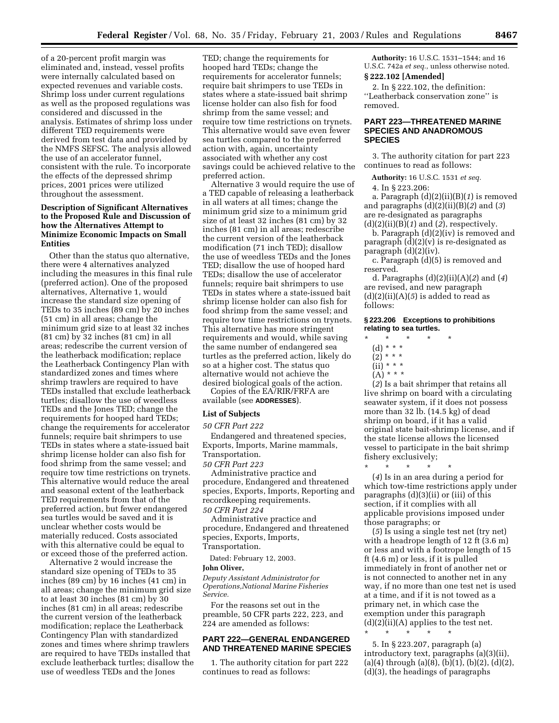of a 20-percent profit margin was eliminated and, instead, vessel profits were internally calculated based on expected revenues and variable costs. Shrimp loss under current regulations as well as the proposed regulations was considered and discussed in the analysis. Estimates of shrimp loss under different TED requirements were derived from test data and provided by the NMFS SEFSC. The analysis allowed the use of an accelerator funnel, consistent with the rule. To incorporate the effects of the depressed shrimp prices, 2001 prices were utilized throughout the assessment.

### **Description of Significant Alternatives to the Proposed Rule and Discussion of how the Alternatives Attempt to Minimize Economic Impacts on Small Entities**

Other than the status quo alternative, there were 4 alternatives analyzed including the measures in this final rule (preferred action). One of the proposed alternatives, Alternative 1, would increase the standard size opening of TEDs to 35 inches (89 cm) by 20 inches (51 cm) in all areas; change the minimum grid size to at least 32 inches (81 cm) by 32 inches (81 cm) in all areas; redescribe the current version of the leatherback modification; replace the Leatherback Contingency Plan with standardized zones and times where shrimp trawlers are required to have TEDs installed that exclude leatherback turtles; disallow the use of weedless TEDs and the Jones TED; change the requirements for hooped hard TEDs; change the requirements for accelerator funnels; require bait shrimpers to use TEDs in states where a state-issued bait shrimp license holder can also fish for food shrimp from the same vessel; and require tow time restrictions on trynets. This alternative would reduce the areal and seasonal extent of the leatherback TED requirements from that of the preferred action, but fewer endangered sea turtles would be saved and it is unclear whether costs would be materially reduced. Costs associated with this alternative could be equal to or exceed those of the preferred action.

Alternative 2 would increase the standard size opening of TEDs to 35 inches (89 cm) by 16 inches (41 cm) in all areas; change the minimum grid size to at least 30 inches (81 cm) by 30 inches (81 cm) in all areas; redescribe the current version of the leatherback modification; replace the Leatherback Contingency Plan with standardized zones and times where shrimp trawlers are required to have TEDs installed that exclude leatherback turtles; disallow the use of weedless TEDs and the Jones

TED; change the requirements for hooped hard TEDs; change the requirements for accelerator funnels; require bait shrimpers to use TEDs in states where a state-issued bait shrimp license holder can also fish for food shrimp from the same vessel; and require tow time restrictions on trynets. This alternative would save even fewer sea turtles compared to the preferred action with, again, uncertainty associated with whether any cost savings could be achieved relative to the preferred action.

Alternative 3 would require the use of a TED capable of releasing a leatherback in all waters at all times; change the minimum grid size to a minimum grid size of at least 32 inches (81 cm) by 32 inches (81 cm) in all areas; redescribe the current version of the leatherback modification (71 inch TED); disallow the use of weedless TEDs and the Jones TED; disallow the use of hooped hard TEDs; disallow the use of accelerator funnels; require bait shrimpers to use TEDs in states where a state-issued bait shrimp license holder can also fish for food shrimp from the same vessel; and require tow time restrictions on trynets. This alternative has more stringent requirements and would, while saving the same number of endangered sea turtles as the preferred action, likely do so at a higher cost. The status quo alternative would not achieve the desired biological goals of the action.

Copies of the EA/RIR/FRFA are available (see **ADDRESSES**).

#### **List of Subjects**

*50 CFR Part 222*

Endangered and threatened species, Exports, Imports, Marine mammals, Transportation.

*50 CFR Part 223* Administrative practice and procedure, Endangered and threatened species, Exports, Imports, Reporting and recordkeeping requirements. *50 CFR Part 224*

Administrative practice and procedure, Endangered and threatened species, Exports, Imports, Transportation.

Dated: February 12, 2003.

#### **John Oliver,**

*Deputy Assistant Administrator for Operations,National Marine Fisheries Service.*

For the reasons set out in the preamble, 50 CFR parts 222, 223, and 224 are amended as follows:

## **PART 222—GENERAL ENDANGERED AND THREATENED MARINE SPECIES**

1. The authority citation for part 222 continues to read as follows:

**Authority:** 16 U.S.C. 1531–1544; and 16 U.S.C. 742a *et seq.*, unless otherwise noted. **§ 222.102 [Amended]**

2. In § 222.102, the definition: ''Leatherback conservation zone'' is removed.

### **PART 223—THREATENED MARINE SPECIES AND ANADROMOUS SPECIES**

3. The authority citation for part 223 continues to read as follows:

**Authority:** 16 U.S.C. 1531 *et seq.*

4. In § 223.206:

a. Paragraph (d)(2)(ii)(B)(*1*) is removed and paragraphs (d)(2)(ii)(B)(*2*) and (*3*) are re-designated as paragraphs (d)(2)(ii)(B)(*1*) and (*2*), respectively.

b. Paragraph (d)(2)(iv) is removed and paragraph (d)(2)(v) is re-designated as paragraph (d)(2)(iv).

c. Paragraph (d)(5) is removed and reserved.

d. Paragraphs (d)(2)(ii)(A)(*2*) and (*4*) are revised, and new paragraph  $(d)(2)(ii)(A)(5)$  is added to read as follows:

**§ 223.206 Exceptions to prohibitions relating to sea turtles.**

- \* \* \* \* \*
	- (d) \* \* \*  $(2) * * * *$
	- (ii) \* \* \*
	- $(A) * * * *$

(*2*) Is a bait shrimper that retains all live shrimp on board with a circulating seawater system, if it does not possess more than 32 lb. (14.5 kg) of dead shrimp on board, if it has a valid original state bait-shrimp license, and if the state license allows the licensed vessel to participate in the bait shrimp fishery exclusively; \* \* \* \* \*

(*4*) Is in an area during a period for which tow-time restrictions apply under paragraphs (d)(3)(ii) or (iii) of this section, if it complies with all applicable provisions imposed under those paragraphs; or

(*5*) Is using a single test net (try net) with a headrope length of 12 ft (3.6 m) or less and with a footrope length of 15 ft (4.6 m) or less, if it is pulled immediately in front of another net or is not connected to another net in any way, if no more than one test net is used at a time, and if it is not towed as a primary net, in which case the exemption under this paragraph  $(d)(2)(ii)(A)$  applies to the test net. \* \* \* \* \*

5. In § 223.207, paragraph (a) introductory text, paragraphs (a)(3)(ii), (a)(4) through (a)(8), (b)(1), (b)(2), (d)(2), (d)(3), the headings of paragraphs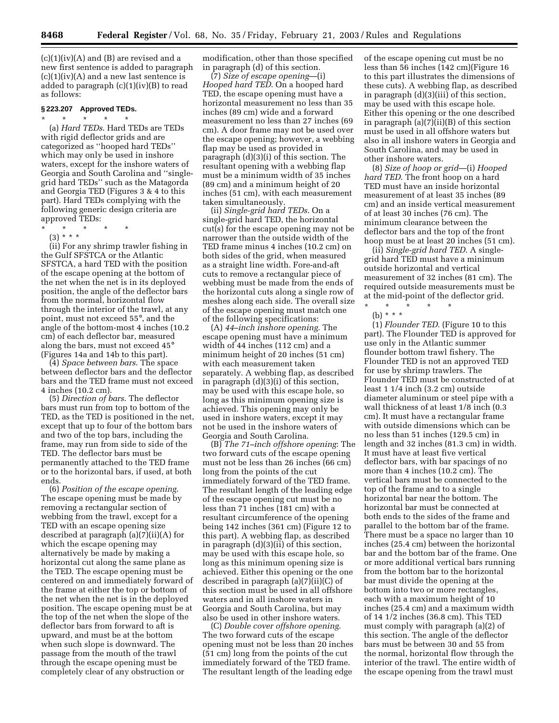$(c)(1)(iv)(A)$  and  $(B)$  are revised and a new first sentence is added to paragraph  $(c)(1)(iv)(A)$  and a new last sentence is added to paragraph (c)(1)(iv)(B) to read as follows:

#### **§ 223.207 Approved TEDs.** \* \* \* \* \*

(a) *Hard TEDs*. Hard TEDs are TEDs with rigid deflector grids and are categorized as ''hooped hard TEDs'' which may only be used in inshore waters, except for the inshore waters of Georgia and South Carolina and ''singlegrid hard TEDs'' such as the Matagorda and Georgia TED (Figures 3 & 4 to this part). Hard TEDs complying with the following generic design criteria are approved TEDs:

\* \* \* \* \*

(3) \* \* \*

(ii) For any shrimp trawler fishing in the Gulf SFSTCA or the Atlantic SFSTCA, a hard TED with the position of the escape opening at the bottom of the net when the net is in its deployed position, the angle of the deflector bars from the normal, horizontal flow through the interior of the trawl, at any point, must not exceed 55°, and the angle of the bottom-most 4 inches (10.2 cm) of each deflector bar, measured along the bars, must not exceed 45° (Figures 14a and 14b to this part).

(4) *Space between bars*. The space between deflector bars and the deflector bars and the TED frame must not exceed 4 inches (10.2 cm).

(5) *Direction of bars*. The deflector bars must run from top to bottom of the TED, as the TED is positioned in the net, except that up to four of the bottom bars and two of the top bars, including the frame, may run from side to side of the TED. The deflector bars must be permanently attached to the TED frame or to the horizontal bars, if used, at both ends.

(6) *Position of the escape opening*. The escape opening must be made by removing a rectangular section of webbing from the trawl, except for a TED with an escape opening size described at paragraph (a)(7)(ii)(A) for which the escape opening may alternatively be made by making a horizontal cut along the same plane as the TED. The escape opening must be centered on and immediately forward of the frame at either the top or bottom of the net when the net is in the deployed position. The escape opening must be at the top of the net when the slope of the deflector bars from forward to aft is upward, and must be at the bottom when such slope is downward. The passage from the mouth of the trawl through the escape opening must be completely clear of any obstruction or

modification, other than those specified in paragraph (d) of this section.

(7) *Size of escape opening*—(i) *Hooped hard TED*. On a hooped hard TED, the escape opening must have a horizontal measurement no less than 35 inches (89 cm) wide and a forward measurement no less than 27 inches (69 cm). A door frame may not be used over the escape opening; however, a webbing flap may be used as provided in paragraph (d)(3)(i) of this section. The resultant opening with a webbing flap must be a minimum width of 35 inches (89 cm) and a minimum height of 20 inches (51 cm), with each measurement taken simultaneously.

(ii) *Single-grid hard TEDs*. On a single-grid hard TED, the horizontal cut(s) for the escape opening may not be narrower than the outside width of the TED frame minus 4 inches (10.2 cm) on both sides of the grid, when measured as a straight line width. Fore-and-aft cuts to remove a rectangular piece of webbing must be made from the ends of the horizontal cuts along a single row of meshes along each side. The overall size of the escape opening must match one of the following specifications:

(A) *44–inch inshore opening*. The escape opening must have a minimum width of 44 inches (112 cm) and a minimum height of 20 inches (51 cm) with each measurement taken separately. A webbing flap, as described in paragraph (d)(3)(i) of this section, may be used with this escape hole, so long as this minimum opening size is achieved. This opening may only be used in inshore waters, except it may not be used in the inshore waters of Georgia and South Carolina.

(B) *The 71–inch offshore opening*: The two forward cuts of the escape opening must not be less than 26 inches (66 cm) long from the points of the cut immediately forward of the TED frame. The resultant length of the leading edge of the escape opening cut must be no less than 71 inches (181 cm) with a resultant circumference of the opening being 142 inches (361 cm) (Figure 12 to this part). A webbing flap, as described in paragraph (d)(3)(ii) of this section, may be used with this escape hole, so long as this minimum opening size is achieved. Either this opening or the one described in paragraph (a)(7)(ii)(C) of this section must be used in all offshore waters and in all inshore waters in Georgia and South Carolina, but may also be used in other inshore waters.

(C) *Double cover offshore opening*. The two forward cuts of the escape opening must not be less than 20 inches (51 cm) long from the points of the cut immediately forward of the TED frame. The resultant length of the leading edge

of the escape opening cut must be no less than 56 inches (142 cm)(Figure 16 to this part illustrates the dimensions of these cuts). A webbing flap, as described in paragraph (d)(3)(iii) of this section, may be used with this escape hole. Either this opening or the one described in paragraph (a)(7)(ii)(B) of this section must be used in all offshore waters but also in all inshore waters in Georgia and South Carolina, and may be used in other inshore waters.

(8) *Size of hoop or grid*—(i) *Hooped hard TED*. The front hoop on a hard TED must have an inside horizontal measurement of at least 35 inches (89 cm) and an inside vertical measurement of at least 30 inches (76 cm). The minimum clearance between the deflector bars and the top of the front hoop must be at least 20 inches (51 cm).

(ii) *Single-grid hard TED*. A singlegrid hard TED must have a minimum outside horizontal and vertical measurement of 32 inches (81 cm). The required outside measurements must be at the mid-point of the deflector grid.

\* \* \* \* \*

(b) \* \* \*

(1) *Flounder TED*. (Figure 10 to this part). The Flounder TED is approved for use only in the Atlantic summer flounder bottom trawl fishery. The Flounder TED is not an approved TED for use by shrimp trawlers. The Flounder TED must be constructed of at least 1 1/4 inch (3.2 cm) outside diameter aluminum or steel pipe with a wall thickness of at least 1/8 inch (0.3 cm). It must have a rectangular frame with outside dimensions which can be no less than 51 inches (129.5 cm) in length and 32 inches (81.3 cm) in width. It must have at least five vertical deflector bars, with bar spacings of no more than 4 inches (10.2 cm). The vertical bars must be connected to the top of the frame and to a single horizontal bar near the bottom. The horizontal bar must be connected at both ends to the sides of the frame and parallel to the bottom bar of the frame. There must be a space no larger than 10 inches (25.4 cm) between the horizontal bar and the bottom bar of the frame. One or more additional vertical bars running from the bottom bar to the horizontal bar must divide the opening at the bottom into two or more rectangles, each with a maximum height of 10 inches (25.4 cm) and a maximum width of 14 1/2 inches (36.8 cm). This TED must comply with paragraph (a)(2) of this section. The angle of the deflector bars must be between 30 and 55 from the normal, horizontal flow through the interior of the trawl. The entire width of the escape opening from the trawl must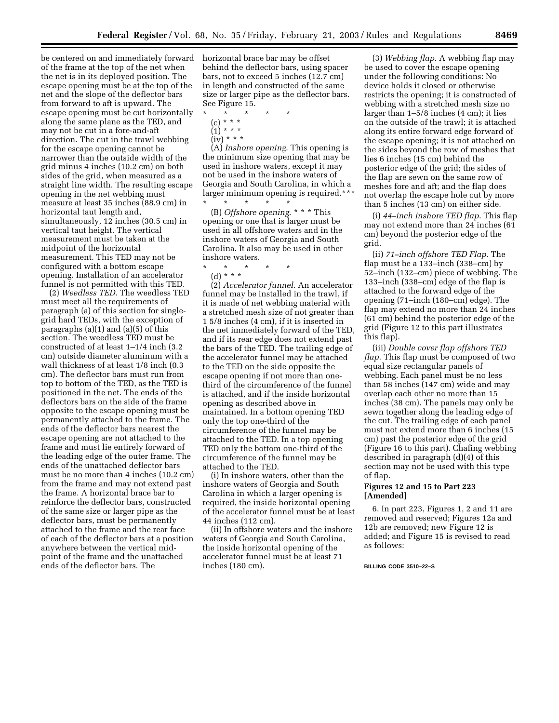be centered on and immediately forward of the frame at the top of the net when the net is in its deployed position. The escape opening must be at the top of the net and the slope of the deflector bars from forward to aft is upward. The escape opening must be cut horizontally along the same plane as the TED, and may not be cut in a fore-and-aft direction. The cut in the trawl webbing for the escape opening cannot be narrower than the outside width of the grid minus 4 inches (10.2 cm) on both sides of the grid, when measured as a straight line width. The resulting escape opening in the net webbing must measure at least 35 inches (88.9 cm) in horizontal taut length and, simultaneously, 12 inches (30.5 cm) in vertical taut height. The vertical measurement must be taken at the midpoint of the horizontal measurement. This TED may not be configured with a bottom escape opening. Installation of an accelerator funnel is not permitted with this TED.

(2) *Weedless TED*. The weedless TED must meet all the requirements of paragraph (a) of this section for singlegrid hard TEDs, with the exception of paragraphs (a)(1) and (a)(5) of this section. The weedless TED must be constructed of at least 1–1/4 inch (3.2 cm) outside diameter aluminum with a wall thickness of at least 1/8 inch (0.3 cm). The deflector bars must run from top to bottom of the TED, as the TED is positioned in the net. The ends of the deflectors bars on the side of the frame opposite to the escape opening must be permanently attached to the frame. The ends of the deflector bars nearest the escape opening are not attached to the frame and must lie entirely forward of the leading edge of the outer frame. The ends of the unattached deflector bars must be no more than 4 inches (10.2 cm) from the frame and may not extend past the frame. A horizontal brace bar to reinforce the deflector bars, constructed of the same size or larger pipe as the deflector bars, must be permanently attached to the frame and the rear face of each of the deflector bars at a position anywhere between the vertical midpoint of the frame and the unattached ends of the deflector bars. The

horizontal brace bar may be offset behind the deflector bars, using spacer bars, not to exceed 5 inches (12.7 cm) in length and constructed of the same size or larger pipe as the deflector bars. See Figure 15.

- \* \* \* \* \*
	- (c) \* \* \*
	- $(1) * * * *$  $(iv) * * *$
	-

(A) *Inshore opening*. This opening is the minimum size opening that may be used in inshore waters, except it may not be used in the inshore waters of Georgia and South Carolina, in which a larger minimum opening is required.\*\*\*

\* \* \* \* \* (B) *Offshore opening*. \* \* \* This opening or one that is larger must be used in all offshore waters and in the inshore waters of Georgia and South Carolina. It also may be used in other inshore waters.

- \* \* \* \* \*
- (d) \* \* \*

(2) *Accelerator funnel*. An accelerator funnel may be installed in the trawl, if it is made of net webbing material with a stretched mesh size of not greater than 1 5/8 inches (4 cm), if it is inserted in the net immediately forward of the TED, and if its rear edge does not extend past the bars of the TED. The trailing edge of the accelerator funnel may be attached to the TED on the side opposite the escape opening if not more than onethird of the circumference of the funnel is attached, and if the inside horizontal opening as described above in maintained. In a bottom opening TED only the top one-third of the circumference of the funnel may be attached to the TED. In a top opening TED only the bottom one-third of the circumference of the funnel may be attached to the TED.

(i) In inshore waters, other than the inshore waters of Georgia and South Carolina in which a larger opening is required, the inside horizontal opening of the accelerator funnel must be at least 44 inches (112 cm).

(ii) In offshore waters and the inshore waters of Georgia and South Carolina, the inside horizontal opening of the accelerator funnel must be at least 71 inches (180 cm).

(3) *Webbing flap*. A webbing flap may be used to cover the escape opening under the following conditions: No device holds it closed or otherwise restricts the opening; it is constructed of webbing with a stretched mesh size no larger than 1–5/8 inches (4 cm); it lies on the outside of the trawl; it is attached along its entire forward edge forward of the escape opening; it is not attached on the sides beyond the row of meshes that lies 6 inches (15 cm) behind the posterior edge of the grid; the sides of the flap are sewn on the same row of meshes fore and aft; and the flap does not overlap the escape hole cut by more than 5 inches (13 cm) on either side.

(i) *44–inch inshore TED flap*. This flap may not extend more than 24 inches (61 cm) beyond the posterior edge of the grid.

(ii) *71–inch offshore TED Flap*. The flap must be a 133–inch (338–cm) by 52–inch (132–cm) piece of webbing. The 133–inch (338–cm) edge of the flap is attached to the forward edge of the opening (71–inch (180–cm) edge). The flap may extend no more than 24 inches (61 cm) behind the posterior edge of the grid (Figure 12 to this part illustrates this flap).

(iii) *Double cover flap offshore TED flap*. This flap must be composed of two equal size rectangular panels of webbing. Each panel must be no less than 58 inches (147 cm) wide and may overlap each other no more than 15 inches (38 cm). The panels may only be sewn together along the leading edge of the cut. The trailing edge of each panel must not extend more than 6 inches (15 cm) past the posterior edge of the grid (Figure 16 to this part). Chafing webbing described in paragraph (d)(4) of this section may not be used with this type of flap.

### **Figures 12 and 15 to Part 223 [Amended]**

6. In part 223, Figures 1, 2 and 11 are removed and reserved; Figures 12a and 12b are removed; new Figure 12 is added; and Figure 15 is revised to read as follows:

#### **BILLING CODE 3510–22–S**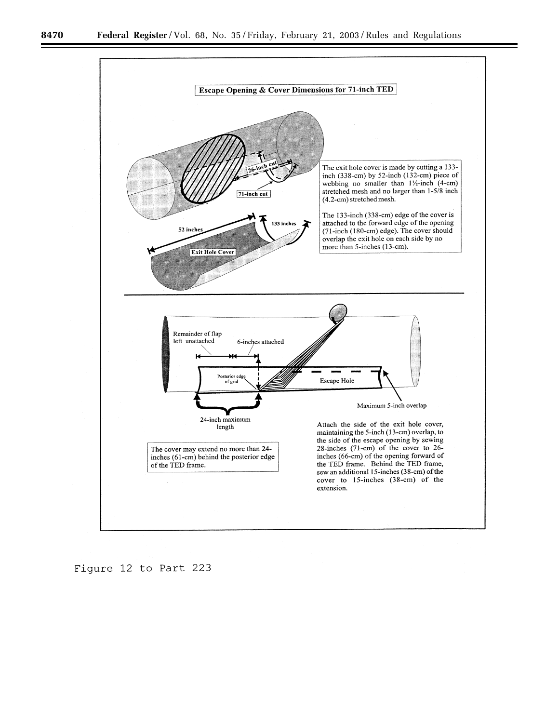

Figure 12 to Part 223